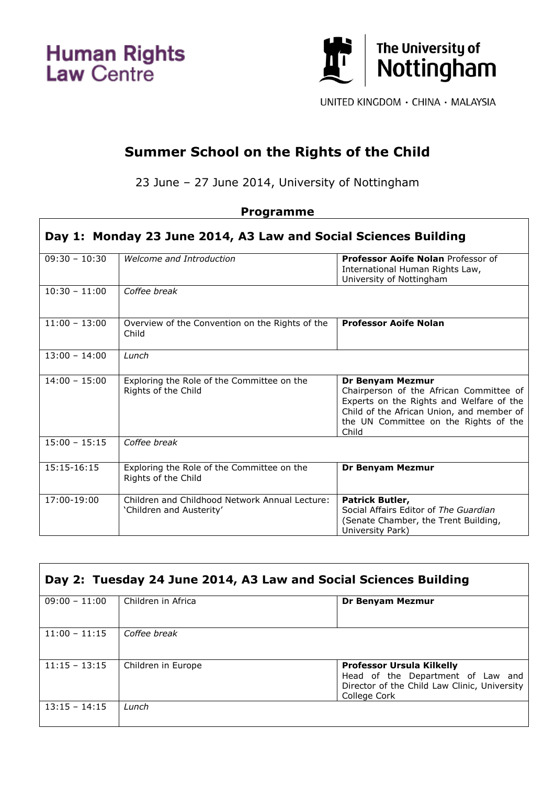**Human Rights**<br>Law Centre



UNITED KINGDOM · CHINA · MALAYSIA

┑

## **Summer School on the Rights of the Child**

23 June – 27 June 2014, University of Nottingham

## **Programme**

| Day 1: Monday 23 June 2014, A3 Law and Social Sciences Building |                                                                            |                                                                                                                                                                                                               |
|-----------------------------------------------------------------|----------------------------------------------------------------------------|---------------------------------------------------------------------------------------------------------------------------------------------------------------------------------------------------------------|
| $09:30 - 10:30$                                                 | Welcome and Introduction                                                   | <b>Professor Aoife Nolan Professor of</b><br>International Human Rights Law,<br>University of Nottingham                                                                                                      |
| $10:30 - 11:00$                                                 | Coffee break                                                               |                                                                                                                                                                                                               |
| $11:00 - 13:00$                                                 | Overview of the Convention on the Rights of the<br>Child                   | <b>Professor Aoife Nolan</b>                                                                                                                                                                                  |
| $13:00 - 14:00$                                                 | Lunch                                                                      |                                                                                                                                                                                                               |
| $14:00 - 15:00$                                                 | Exploring the Role of the Committee on the<br>Rights of the Child          | <b>Dr Benyam Mezmur</b><br>Chairperson of the African Committee of<br>Experts on the Rights and Welfare of the<br>Child of the African Union, and member of<br>the UN Committee on the Rights of the<br>Child |
| $15:00 - 15:15$                                                 | Coffee break                                                               |                                                                                                                                                                                                               |
| 15:15-16:15                                                     | Exploring the Role of the Committee on the<br>Rights of the Child          | <b>Dr Benyam Mezmur</b>                                                                                                                                                                                       |
| 17:00-19:00                                                     | Children and Childhood Network Annual Lecture:<br>'Children and Austerity' | Patrick Butler,<br>Social Affairs Editor of The Guardian<br>(Senate Chamber, the Trent Building,<br>University Park)                                                                                          |

| Day 2: Tuesday 24 June 2014, A3 Law and Social Sciences Building |                    |                                                                                                                                       |
|------------------------------------------------------------------|--------------------|---------------------------------------------------------------------------------------------------------------------------------------|
| $09:00 - 11:00$                                                  | Children in Africa | Dr Benyam Mezmur                                                                                                                      |
| $11:00 - 11:15$                                                  | Coffee break       |                                                                                                                                       |
| $11:15 - 13:15$                                                  | Children in Europe | <b>Professor Ursula Kilkelly</b><br>Head of the Department of Law and<br>Director of the Child Law Clinic, University<br>College Cork |
| $13:15 - 14:15$                                                  | Lunch              |                                                                                                                                       |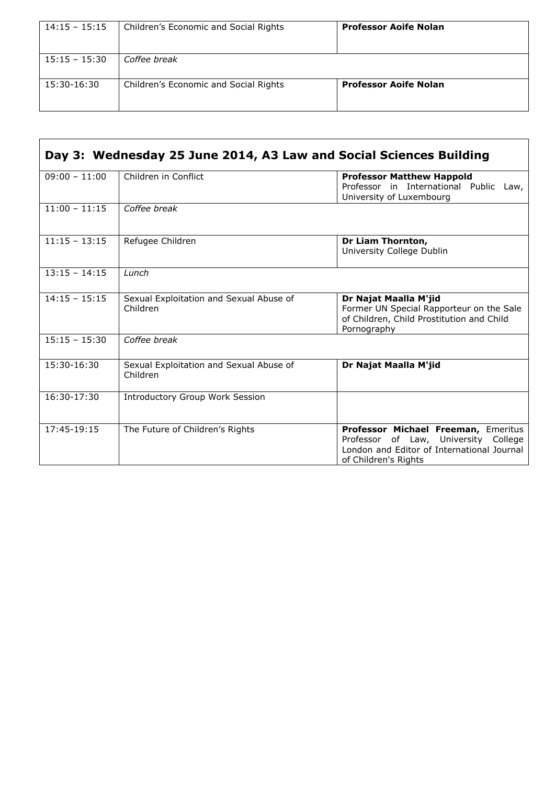| $14:15 - 15:15$ | Children's Economic and Social Rights | <b>Professor Aoife Nolan</b> |
|-----------------|---------------------------------------|------------------------------|
| $15:15 - 15:30$ | Coffee break                          |                              |
| 15:30-16:30     | Children's Economic and Social Rights | <b>Professor Aoife Nolan</b> |

| Day 3: Wednesday 25 June 2014, A3 Law and Social Sciences Building |                                                     |                                                                                                                                                   |
|--------------------------------------------------------------------|-----------------------------------------------------|---------------------------------------------------------------------------------------------------------------------------------------------------|
| $09:00 - 11:00$                                                    | Children in Conflict                                | <b>Professor Matthew Happold</b><br>Professor in International Public Law,<br>University of Luxembourg                                            |
| $11:00 - 11:15$                                                    | Coffee break                                        |                                                                                                                                                   |
| $11:15 - 13:15$                                                    | Refugee Children                                    | Dr Liam Thornton,<br>University College Dublin                                                                                                    |
| $13:15 - 14:15$                                                    | $l$ unch                                            |                                                                                                                                                   |
| $14:15 - 15:15$                                                    | Sexual Exploitation and Sexual Abuse of<br>Children | Dr Najat Maalla M'jid<br>Former UN Special Rapporteur on the Sale<br>of Children, Child Prostitution and Child<br>Pornography                     |
| $15:15 - 15:30$                                                    | Coffee break                                        |                                                                                                                                                   |
| 15:30-16:30                                                        | Sexual Exploitation and Sexual Abuse of<br>Children | Dr Najat Maalla M'jid                                                                                                                             |
| $16:30-17:30$                                                      | <b>Introductory Group Work Session</b>              |                                                                                                                                                   |
| 17:45-19:15                                                        | The Future of Children's Rights                     | Professor Michael Freeman, Emeritus<br>Professor of Law, University College<br>London and Editor of International Journal<br>of Children's Rights |